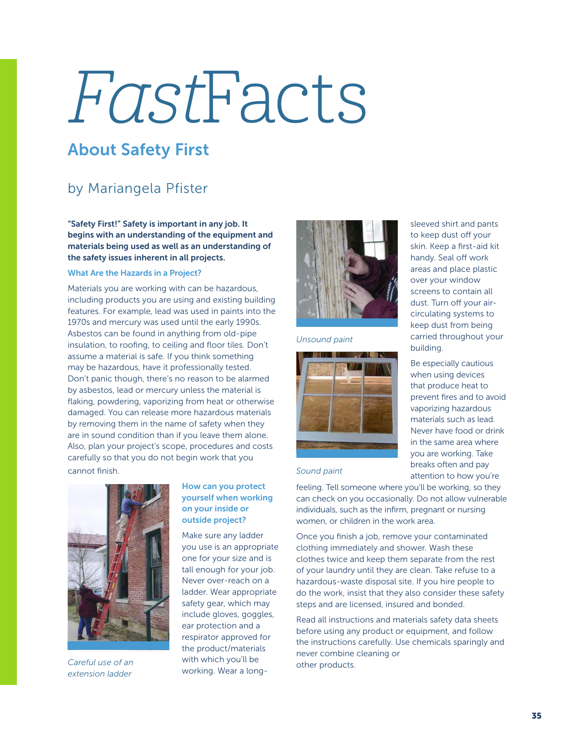# FastFacts

## About Safety First

### by Mariangela Pfister

"Safety First!" Safety is important in any job. It begins with an understanding of the equipment and materials being used as well as an understanding of the safety issues inherent in all projects.

#### What Are the Hazards in a Project?

Materials you are working with can be hazardous, including products you are using and existing building features. For example, lead was used in paints into the 1970s and mercury was used until the early 1990s. Asbestos can be found in anything from old-pipe insulation, to roofing, to ceiling and floor tiles. Don't assume a material is safe. If you think something may be hazardous, have it professionally tested. Don't panic though, there's no reason to be alarmed by asbestos, lead or mercury unless the material is flaking, powdering, vaporizing from heat or otherwise damaged. You can release more hazardous materials by removing them in the name of safety when they are in sound condition than if you leave them alone. Also, plan your project's scope, procedures and costs carefully so that you do not begin work that you cannot finish.



*Careful use of an extension ladder*

#### How can you protect yourself when working on your inside or outside project?

Make sure any ladder you use is an appropriate one for your size and is tall enough for your job. Never over-reach on a ladder. Wear appropriate safety gear, which may include gloves, goggles, ear protection and a respirator approved for the product/materials with which you'll be working. Wear a long-



#### *Unsound paint*



sleeved shirt and pants to keep dust off your skin. Keep a first-aid kit handy. Seal off work areas and place plastic over your window screens to contain all dust. Turn off your aircirculating systems to keep dust from being carried throughout your building.

Be especially cautious when using devices that produce heat to prevent fires and to avoid vaporizing hazardous materials such as lead. Never have food or drink in the same area where you are working. Take breaks often and pay attention to how you're

*Sound paint*

feeling. Tell someone where you'll be working, so they can check on you occasionally. Do not allow vulnerable individuals, such as the infirm, pregnant or nursing women, or children in the work area.

Once you finish a job, remove your contaminated clothing immediately and shower. Wash these clothes twice and keep them separate from the rest of your laundry until they are clean. Take refuse to a hazardous-waste disposal site. If you hire people to do the work, insist that they also consider these safety steps and are licensed, insured and bonded.

Read all instructions and materials safety data sheets before using any product or equipment, and follow the instructions carefully. Use chemicals sparingly and never combine cleaning or other products.